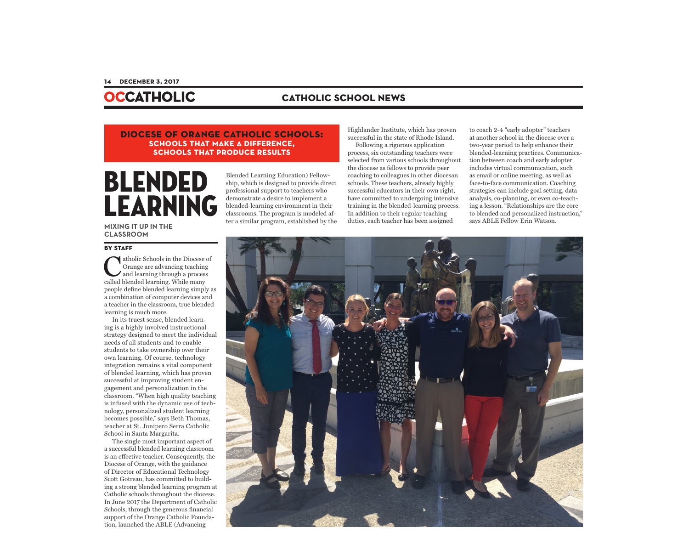## **OCCATHOLIC**

### **catholic school news**

#### **diocese of orange catholic schools: schools that make a difference, schools that produce results**

# Blended Learning

Blended Learning Education) Fellowship, which is designed to provide direct professional support to teachers who demonstrate a desire to implement a blended-learning environment in their classrooms. The program is modeled after a similar program, established by the Highlander Institute, which has proven successful in the state of Rhode Island.

Following a rigorous application process, six outstanding teachers were selected from various schools throughout the diocese as fellows to provide peer coaching to colleagues in other diocesan schools. These teachers, already highly successful educators in their own right, have committed to undergoing intensive training in the blended-learning process. In addition to their regular teaching duties, each teacher has been assigned

to coach 2-4 "early adopter" teachers at another school in the diocese over a two-year period to help enhance their blended-learning practices. Communication between coach and early adopter includes virtual communication, such as email or online meeting, as well as face-to-face communication. Coaching strategies can include goal setting, data analysis, co-planning, or even co-teaching a lesson. "Relationships are the core to blended and personalized instruction," says ABLE Fellow Erin Watson.

**MIXING IT UP IN THE CLASSROOM**

#### **BY STAFF**

Catholic Schools in the Diocese of Orange are advancing teaching and learning through a process called blended learning. While many people define blended learning simply as a combination of computer devices and a teacher in the classroom, true blended learning is much more.

In its truest sense, blended learning is a highly involved instructional strategy designed to meet the individual needs of all students and to enable students to take ownership over their own learning. Of course, technology integration remains a vital component of blended learning, which has proven successful at improving student engagement and personalization in the classroom. "When high quality teaching is infused with the dynamic use of technology, personalized student learning becomes possible," says Beth Thomas, teacher at St. Junipero Serra Catholic School in Santa Margarita.

The single most important aspect of a successful blended learning classroom is an effective teacher. Consequently, the Diocese of Orange, with the guidance of Director of Educational Technology Scott Gotreau, has committed to building a strong blended learning program at Catholic schools throughout the diocese. In June 2017 the Department of Catholic Schools, through the generous financial support of the Orange Catholic Foundation, launched the ABLE (Advancing